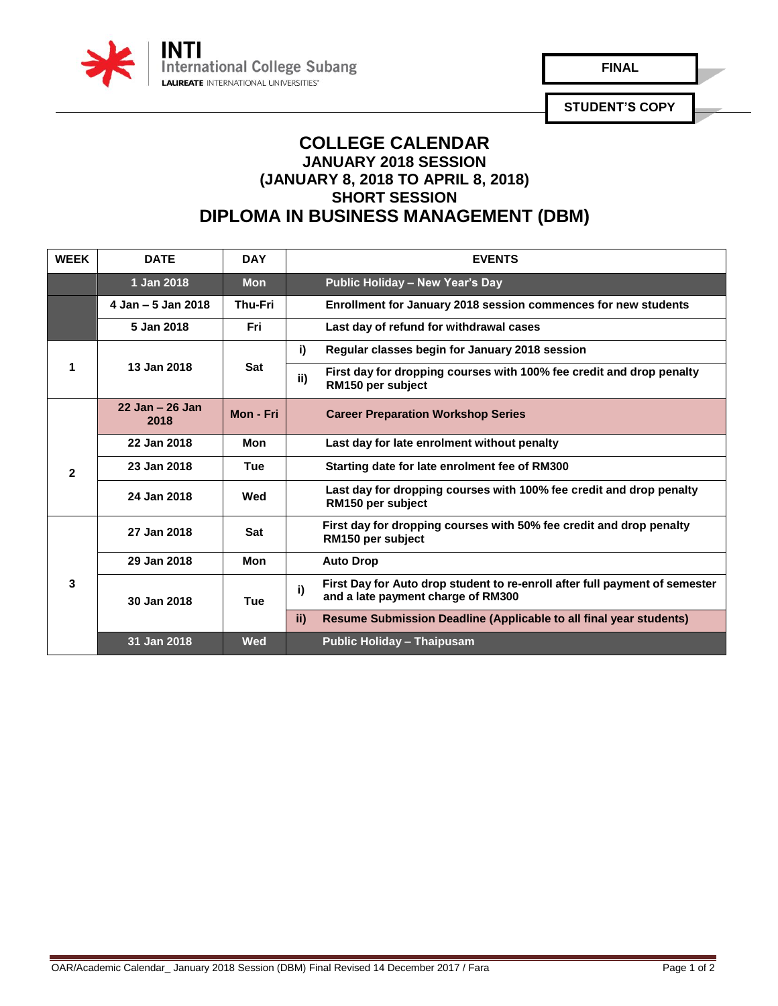

**FINAL** 

**STUDENT'S COPY**

## **COLLEGE CALENDAR JANUARY 2018 SESSION (JANUARY 8, 2018 TO APRIL 8, 2018) SHORT SESSION DIPLOMA IN BUSINESS MANAGEMENT (DBM)**

| <b>WEEK</b>  | <b>DATE</b>                | <b>DAY</b>     | <b>EVENTS</b>                                                                                                           |
|--------------|----------------------------|----------------|-------------------------------------------------------------------------------------------------------------------------|
|              | 1 Jan 2018                 | <b>Mon</b>     | Public Holiday - New Year's Day                                                                                         |
|              | $4$ Jan $-5$ Jan 2018      | <b>Thu-Fri</b> | Enrollment for January 2018 session commences for new students                                                          |
|              | 5 Jan 2018                 | Fri            | Last day of refund for withdrawal cases                                                                                 |
| 1            | 13 Jan 2018                | <b>Sat</b>     | i)<br>Regular classes begin for January 2018 session                                                                    |
|              |                            |                | First day for dropping courses with 100% fee credit and drop penalty<br>ii)<br>RM150 per subject                        |
|              | $22$ Jan $-26$ Jan<br>2018 | Mon - Fri      | <b>Career Preparation Workshop Series</b>                                                                               |
| $\mathbf{c}$ | 22 Jan 2018                | Mon            | Last day for late enrolment without penalty                                                                             |
|              | 23 Jan 2018                | <b>Tue</b>     | Starting date for late enrolment fee of RM300                                                                           |
|              | 24 Jan 2018                | Wed            | Last day for dropping courses with 100% fee credit and drop penalty<br>RM150 per subject                                |
| 3            | 27 Jan 2018                | <b>Sat</b>     | First day for dropping courses with 50% fee credit and drop penalty<br>RM150 per subject                                |
|              | 29 Jan 2018                | <b>Mon</b>     | <b>Auto Drop</b>                                                                                                        |
|              | 30 Jan 2018                | Tue            | First Day for Auto drop student to re-enroll after full payment of semester<br>i)<br>and a late payment charge of RM300 |
|              |                            |                | ii)<br>Resume Submission Deadline (Applicable to all final year students)                                               |
|              | 31 Jan 2018                | <b>Wed</b>     | <b>Public Holiday - Thaipusam</b>                                                                                       |